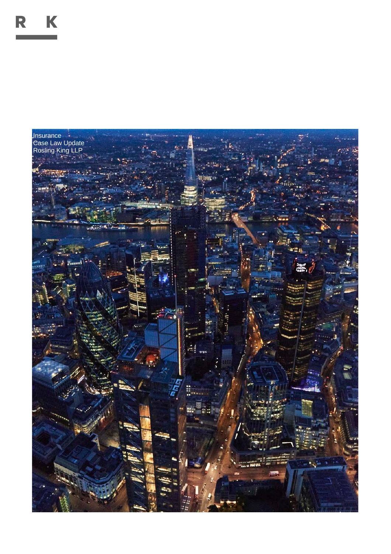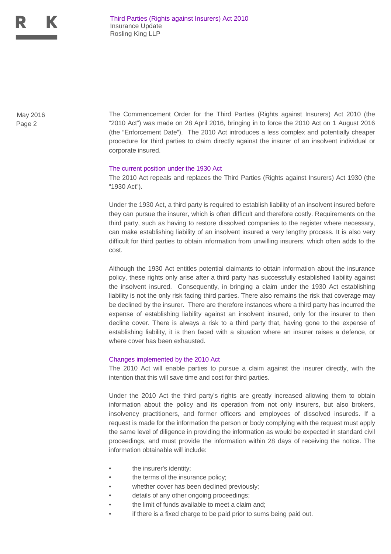Page 2

May 2016 The Commencement Order for the Third Parties (Rights against Insurers) Act 2010 (the "2010 Act") was made on 28 April 2016, bringing in to force the 2010 Act on 1 August 2016 (the "Enforcement Date"). The 2010 Act introduces a less complex and potentially cheaper procedure for third parties to claim directly against the insurer of an insolvent individual or corporate insured.

## The current position under the 1930 Act

The 2010 Act repeals and replaces the Third Parties (Rights against Insurers) Act 1930 (the "1930 Act").

Under the 1930 Act, a third party is required to establish liability of an insolvent insured before they can pursue the insurer, which is often difficult and therefore costly. Requirements on the third party, such as having to restore dissolved companies to the register where necessary, can make establishing liability of an insolvent insured a very lengthy process. It is also very difficult for third parties to obtain information from unwilling insurers, which often adds to the cost.

Although the 1930 Act entitles potential claimants to obtain information about the insurance policy, these rights only arise after a third party has successfully established liability against the insolvent insured. Consequently, in bringing a claim under the 1930 Act establishing liability is not the only risk facing third parties. There also remains the risk that coverage may be declined by the insurer. There are therefore instances where a third party has incurred the expense of establishing liability against an insolvent insured, only for the insurer to then decline cover. There is always a risk to a third party that, having gone to the expense of establishing liability, it is then faced with a situation where an insurer raises a defence, or where cover has been exhausted.

## Changes implemented by the 2010 Act

The 2010 Act will enable parties to pursue a claim against the insurer directly, with the intention that this will save time and cost for third parties.

Under the 2010 Act the third party's rights are greatly increased allowing them to obtain information about the policy and its operation from not only insurers, but also brokers, insolvency practitioners, and former officers and employees of dissolved insureds. If a request is made for the information the person or body complying with the request must apply the same level of diligence in providing the information as would be expected in standard civil proceedings, and must provide the information within 28 days of receiving the notice. The information obtainable will include:

- the insurer's identity;
- the terms of the insurance policy;
- whether cover has been declined previously;
- details of any other ongoing proceedings;
- the limit of funds available to meet a claim and;
- if there is a fixed charge to be paid prior to sums being paid out.